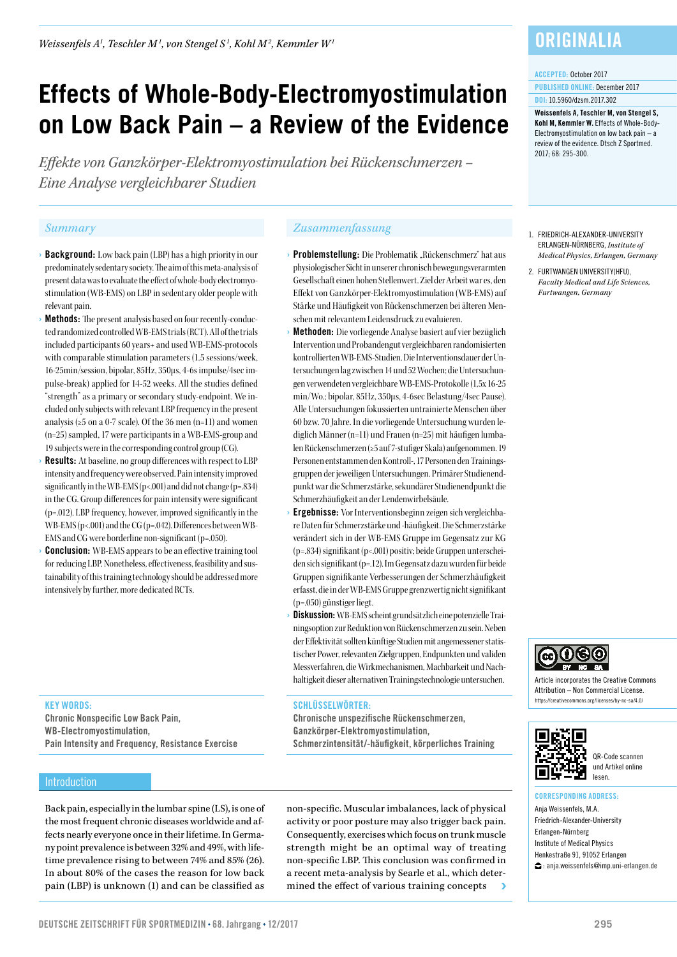# **Effects of Whole-Body-Electromyostimulation on Low Back Pain – a Review of the Evidence**

*Effekte von Ganzkörper-Elektromyostimulation bei Rückenschmerzen – Eine Analyse vergleichbarer Studien*

- › Background: Low back pain (LBP) has a high priority in our predominately sedentary society. The aim of this meta-analysis of present data was to evaluate the effect of whole-body electromyostimulation (WB-EMS) on LBP in sedentary older people with relevant pain.
- **Methods:** The present analysis based on four recently-conducted randomized controlled WB-EMS trials (RCT). All of the trials included participants 60 years+ and used WB-EMS-protocols with comparable stimulation parameters (1.5 sessions/week, 16-25min/session, bipolar, 85Hz, 350μs, 4-6s impulse/4sec impulse-break) applied for 14-52 weeks. All the studies defined "strength" as a primary or secondary study-endpoint. We included only subjects with relevant LBP frequency in the present analysis (≥5 on a 0-7 scale). Of the 36 men (n=11) and women (n=25) sampled, 17 were participants in a WB-EMS-group and 19 subjects were in the corresponding control group (CG).
- **Results:** At baseline, no group differences with respect to LBP intensity and frequency were observed. Pain intensity improved significantly in the WB-EMS (p<.001) and did not change (p=.834) in the CG. Group differences for pain intensity were significant (p=.012). LBP frequency, however, improved significantly in the WB-EMS (p<.001) and the CG (p=.042). Differences between WB-EMS and CG were borderline non-significant (p=.050).
- **Conclusion:** WB-EMS appears to be an effective training tool for reducing LBP. Nonetheless, effectiveness, feasibility and sustainability of this training technology should be addressed more intensively by further, more dedicated RCTs.

#### KEY WORDS:

Chronic Nonspecific Low Back Pain, WB-Electromyostimulation, Pain Intensity and Frequency, Resistance Exercise

### **Introduction**

Back pain, especially in the lumbar spine (LS), is one of the most frequent chronic diseases worldwide and affects nearly everyone once in their lifetime. In Germany point prevalence is between 32% and 49%, with lifetime prevalence rising to between 74% and 85% (26). In about 80% of the cases the reason for low back pain (LBP) is unknown (1) and can be classified as

### *Summary Zusammenfassung*

- **Problemstellung:** Die Problematik "Rückenschmerz" hat aus physiologischer Sicht in unserer chronisch bewegungsverarmten Gesellschaft einen hohen Stellenwert. Ziel der Arbeit war es, den Effekt von Ganzkörper-Elektromyostimulation (WB-EMS) auf Stärke und Häufigkeit von Rückenschmerzen bei älteren Menschen mit relevantem Leidensdruck zu evaluieren.
- Methoden: Die vorliegende Analyse basiert auf vier bezüglich Intervention und Probandengut vergleichbaren randomisierten kontrollierten WB-EMS-Studien. Die Interventionsdauer der Untersuchungen lag zwischen 14 und 52 Wochen; die Untersuchungen verwendeten vergleichbare WB-EMS-Protokolle (1,5x 16-25 min/Wo.; bipolar, 85Hz, 350µs, 4-6sec Belastung/4sec Pause). Alle Untersuchungen fokussierten untrainierte Menschen über 60 bzw. 70 Jahre. In die vorliegende Untersuchung wurden lediglich Männer (n=11) und Frauen (n=25) mit häufigen lumbalen Rückenschmerzen (≥5 auf 7-stufiger Skala) aufgenommen. 19 Personen entstammen den Kontroll-, 17 Personen den Trainingsgruppen der jeweiligen Untersuchungen. Primärer Studienendpunkt war die Schmerzstärke, sekundärer Studienendpunkt die Schmerzhäufigkeit an der Lendenwirbelsäule.
- **Ergebnisse:** Vor Interventionsbeginn zeigen sich vergleichbare Daten für Schmerzstärke und -häufigkeit. Die Schmerzstärke verändert sich in der WB-EMS Gruppe im Gegensatz zur KG (p=.834) signifikant (p<.001) positiv; beide Gruppen unterscheiden sich signifikant (p=.12). Im Gegensatz dazu wurden für beide Gruppen signifikante Verbesserungen der Schmerzhäufigkeit erfasst, die in der WB-EMS Gruppe grenzwertig nicht signifikant (p=.050) günstiger liegt.
- Diskussion: WB-EMS scheint grundsätzlich eine potenzielle Trainingsoption zur Reduktion von Rückenschmerzen zu sein. Neben der Effektivität sollten künftige Studien mit angemessener statistischer Power, relevanten Zielgruppen, Endpunkten und validen Messverfahren, die Wirkmechanismen, Machbarkeit und Nachhaltigkeit dieser alternativen Trainingstechnologie untersuchen.

#### SCHLÜSSELWÖRTER:

Chronische unspezifische Rückenschmerzen, Ganzkörper-Elektromyostimulation, Schmerzintensität/-häufigkeit, körperliches Training

non-specific. Muscular imbalances, lack of physical activity or poor posture may also trigger back pain. Consequently, exercises which focus on trunk muscle strength might be an optimal way of treating non-specific LBP. This conclusion was confirmed in a recent meta-analysis by Searle et al., which determined the effect of various training concepts

**ORIGINALIA** 

#### ACCEPTED: October 2017

PUBLISHED ONLINE: December 2017 DOI: 10.5960/dzsm.2017.302

Weissenfels A, Teschler M, von Stengel S, Kohl M, Kemmler W. Effects of Whole-Body-Electromyostimulation on low back pain – a review of the evidence. Dtsch Z Sportmed. 2017; 68: 295-300.

- 1. FRIEDRICH-ALEXANDER-UNIVERSITY ERLANGEN-NÜRNBERG, *Institute of Medical Physics, Erlangen, Germany*
- 2. FURTWANGEN UNIVERSITY(HFU), *Faculty Medical and Life Sciences, Furtwangen, Germany*



Article incorporates the Creative Commons Attribution – Non Commercial License. https://creativecommons.org/licenses/by-nc-sa/4.0/



QR-Code scannen und Artikel online lesen.

#### CORRESPONDING ADDRESS:

Anja Weissenfels, M.A. Friedrich-Alexander-University Erlangen-Nürnberg Institute of Medical Physics Henkestraße 91, 91052 Erlangen : anja.weissenfels@imp.uni-erlangen.de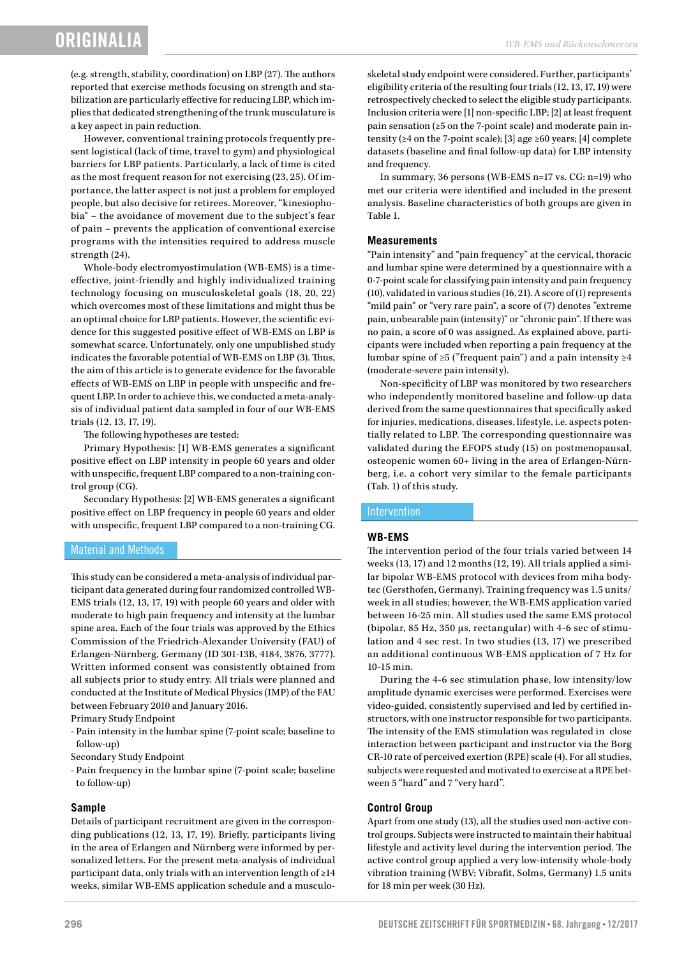(e.g. strength, stability, coordination) on LBP (27). The authors reported that exercise methods focusing on strength and stabilization are particularly effective for reducing LBP, which implies that dedicated strengthening of the trunk musculature is a key aspect in pain reduction.

However, conventional training protocols frequently present logistical (lack of time, travel to gym) and physiological barriers for LBP patients. Particularly, a lack of time is cited as the most frequent reason for not exercising (23, 25). Of importance, the latter aspect is not just a problem for employed people, but also decisive for retirees. Moreover, "kinesiophobia" – the avoidance of movement due to the subject's fear of pain – prevents the application of conventional exercise programs with the intensities required to address muscle strength (24).

Whole-body electromyostimulation (WB-EMS) is a timeeffective, joint-friendly and highly individualized training technology focusing on musculoskeletal goals (18, 20, 22) which overcomes most of these limitations and might thus be an optimal choice for LBP patients. However, the scientific evidence for this suggested positive effect of WB-EMS on LBP is somewhat scarce. Unfortunately, only one unpublished study indicates the favorable potential of WB-EMS on LBP (3). Thus, the aim of this article is to generate evidence for the favorable effects of WB-EMS on LBP in people with unspecific and frequent LBP. In order to achieve this, we conducted a meta-analysis of individual patient data sampled in four of our WB-EMS trials (12, 13, 17, 19).

The following hypotheses are tested:

Primary Hypothesis: [1] WB-EMS generates a significant positive effect on LBP intensity in people 60 years and older with unspecific, frequent LBP compared to a non-training control group (CG).

Secondary Hypothesis: [2] WB-EMS generates a significant positive effect on LBP frequency in people 60 years and older with unspecific, frequent LBP compared to a non-training CG.

#### Material and Methods

This study can be considered a meta-analysis of individual participant data generated during four randomized controlled WB-EMS trials (12, 13, 17, 19) with people 60 years and older with moderate to high pain frequency and intensity at the lumbar spine area. Each of the four trials was approved by the Ethics Commission of the Friedrich-Alexander University (FAU) of Erlangen-Nürnberg, Germany (ID 301-13B, 4184, 3876, 3777). Written informed consent was consistently obtained from all subjects prior to study entry. All trials were planned and conducted at the Institute of Medical Physics (IMP) of the FAU between February 2010 and January 2016.

Primary Study Endpoint

- Pain intensity in the lumbar spine (7-point scale; baseline to follow-up)
- Secondary Study Endpoint
- Pain frequency in the lumbar spine (7-point scale; baseline to follow-up)

#### **Sample**

Details of participant recruitment are given in the corresponding publications (12, 13, 17, 19). Briefly, participants living in the area of Erlangen and Nürnberg were informed by personalized letters. For the present meta-analysis of individual participant data, only trials with an intervention length of ≥14 weeks, similar WB-EMS application schedule and a musculoskeletal study endpoint were considered. Further, participants' eligibility criteria of the resulting four trials (12, 13, 17, 19) were retrospectively checked to select the eligible study participants. Inclusion criteria were [1] non-specific LBP; [2] at least frequent pain sensation (≥5 on the 7-point scale) and moderate pain intensity (≥4 on the 7-point scale); [3] age ≥60 years; [4] complete datasets (baseline and final follow-up data) for LBP intensity and frequency.

In summary, 36 persons (WB-EMS n=17 vs. CG: n=19) who met our criteria were identified and included in the present analysis. Baseline characteristics of both groups are given in Table 1.

#### **Measurements**

"Pain intensity" and "pain frequency" at the cervical, thoracic and lumbar spine were determined by a questionnaire with a 0-7-point scale for classifying pain intensity and pain frequency (10), validated in various studies (16, 21). A score of (1) represents "mild pain" or "very rare pain", a score of (7) denotes "extreme pain, unbearable pain (intensity)" or "chronic pain". If there was no pain, a score of 0 was assigned. As explained above, participants were included when reporting a pain frequency at the lumbar spine of  $\geq 5$  ("frequent pain") and a pain intensity  $\geq 4$ (moderate-severe pain intensity).

Non-specificity of LBP was monitored by two researchers who independently monitored baseline and follow-up data derived from the same questionnaires that specifically asked for injuries, medications, diseases, lifestyle, i.e. aspects potentially related to LBP. The corresponding questionnaire was validated during the EFOPS study (15) on postmenopausal, osteopenic women 60+ living in the area of Erlangen-Nürnberg, i.e. a cohort very similar to the female participants (Tab. 1) of this study.

#### Intervention

#### **WB-EMS**

The intervention period of the four trials varied between 14 weeks (13, 17) and 12 months (12, 19). All trials applied a similar bipolar WB-EMS protocol with devices from miha bodytec (Gersthofen, Germany). Training frequency was 1.5 units/ week in all studies; however, the WB-EMS application varied between 16-25 min. All studies used the same EMS protocol (bipolar, 85 Hz, 350 µs, rectangular) with 4-6 sec of stimulation and 4 sec rest. In two studies (13, 17) we prescribed an additional continuous WB-EMS application of 7 Hz for 10-15 min.

During the 4-6 sec stimulation phase, low intensity/low amplitude dynamic exercises were performed. Exercises were video-guided, consistently supervised and led by certified instructors, with one instructor responsible for two participants. The intensity of the EMS stimulation was regulated in close interaction between participant and instructor via the Borg CR-10 rate of perceived exertion (RPE) scale (4). For all studies, subjects were requested and motivated to exercise at a RPE between 5 "hard" and 7 "very hard".

#### **Control Group**

Apart from one study (13), all the studies used non-active control groups. Subjects were instructed to maintain their habitual lifestyle and activity level during the intervention period. The active control group applied a very low-intensity whole-body vibration training (WBV; Vibrafit, Solms, Germany) 1.5 units for 18 min per week (30 Hz).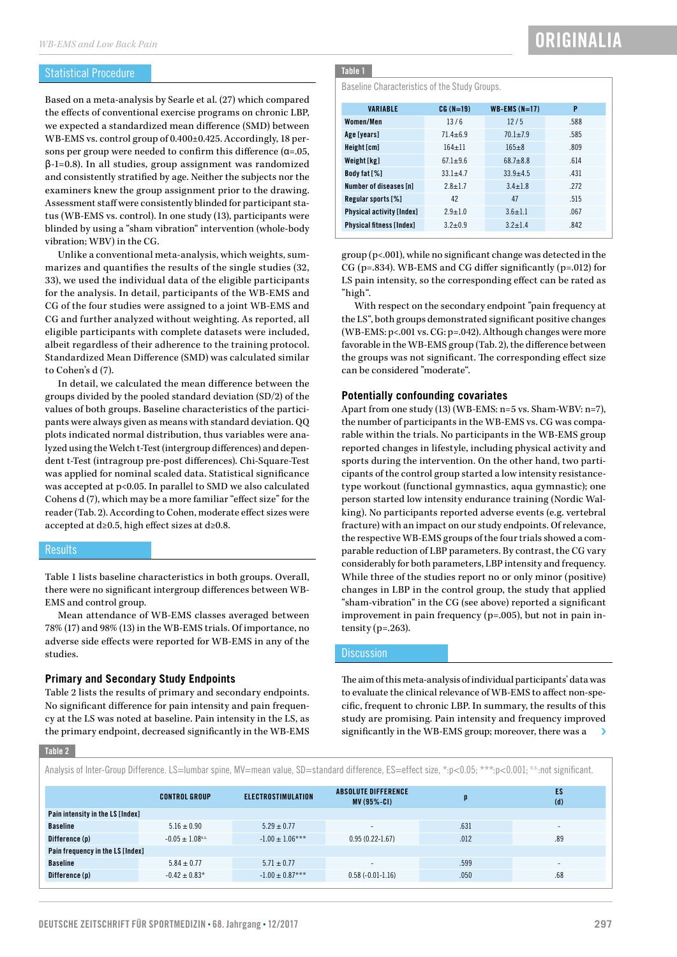#### Statistical Procedure

Based on a meta-analysis by Searle et al. (27) which compared the effects of conventional exercise programs on chronic LBP, we expected a standardized mean difference (SMD) between WB-EMS vs. control group of 0.400±0.425. Accordingly, 18 persons per group were needed to confirm this difference (α=.05, β-1=0.8). In all studies, group assignment was randomized and consistently stratified by age. Neither the subjects nor the examiners knew the group assignment prior to the drawing. Assessment staff were consistently blinded for participant status (WB-EMS vs. control). In one study (13), participants were blinded by using a "sham vibration" intervention (whole-body vibration; WBV) in the CG.

Unlike a conventional meta-analysis, which weights, summarizes and quantifies the results of the single studies (32, 33), we used the individual data of the eligible participants for the analysis. In detail, participants of the WB-EMS and CG of the four studies were assigned to a joint WB-EMS and CG and further analyzed without weighting. As reported, all eligible participants with complete datasets were included, albeit regardless of their adherence to the training protocol. Standardized Mean Difference (SMD) was calculated similar to Cohen's d (7).

In detail, we calculated the mean difference between the groups divided by the pooled standard deviation (SD/2) of the values of both groups. Baseline characteristics of the participants were always given as means with standard deviation. QQ plots indicated normal distribution, thus variables were analyzed using the Welch t-Test (intergroup differences) and dependent t-Test (intragroup pre-post differences). Chi-Square-Test was applied for nominal scaled data. Statistical significance was accepted at p<0.05. In parallel to SMD we also calculated Cohens d (7), which may be a more familiar "effect size" for the reader (Tab. 2). According to Cohen, moderate effect sizes were accepted at d≥0.5, high effect sizes at d≥0.8.

#### **Results**

Table 1 lists baseline characteristics in both groups. Overall, there were no significant intergroup differences between WB-EMS and control group.

Mean attendance of WB-EMS classes averaged between 78% (17) and 98% (13) in the WB-EMS trials. Of importance, no adverse side effects were reported for WB-EMS in any of the studies.

#### **Primary and Secondary Study Endpoints**

Table 2 lists the results of primary and secondary endpoints. No significant difference for pain intensity and pain frequency at the LS was noted at baseline. Pain intensity in the LS, as the primary endpoint, decreased significantly in the WB-EMS

#### Table 1

Baseline Characteristics of the Study Groups.

| <b>VARIABLE</b>           | $CG(N=19)$   | $WB-EMS(N=17)$      | P    |
|---------------------------|--------------|---------------------|------|
| Women/Men                 | 13/6         | 12/5                | .588 |
| Age [years]               | $71.4 + 6.9$ | $70.1 + 7.9$        | .585 |
| Height [cm]               | $164 + 11$   | $165 + 8$           | .809 |
| Weight [kg]               | $67.1 + 9.6$ | $68.7 + 8.8$        | .614 |
| Body fat [%]              | $33.1 + 4.7$ | $33.9 + 4.5$        | .431 |
| Number of diseases [n]    | $2.8 + 1.7$  | $3.4 + 1.8$         | .272 |
| Regular sports [%]        | 42           | 47                  | .515 |
| Physical activity [Index] | $2.9 + 1.0$  | $3.6 + 1.1$         | .067 |
| Physical fitness [Index]  | $3.2 + 0.9$  | $3.2 + 1.4$<br>.842 |      |

group (p<.001), while no significant change was detected in the CG (p=.834). WB-EMS and CG differ significantly (p=.012) for LS pain intensity, so the corresponding effect can be rated as "high".

With respect on the secondary endpoint "pain frequency at the LS", both groups demonstrated significant positive changes (WB-EMS: p<.001 vs. CG: p=.042). Although changes were more favorable in the WB-EMS group (Tab. 2), the difference between the groups was not significant. The corresponding effect size can be considered "moderate".

#### **Potentially confounding covariates**

Apart from one study (13) (WB-EMS: n=5 vs. Sham-WBV: n=7), the number of participants in the WB-EMS vs. CG was comparable within the trials. No participants in the WB-EMS group reported changes in lifestyle, including physical activity and sports during the intervention. On the other hand, two participants of the control group started a low intensity resistancetype workout (functional gymnastics, aqua gymnastic); one person started low intensity endurance training (Nordic Walking). No participants reported adverse events (e.g. vertebral fracture) with an impact on our study endpoints. Of relevance, the respective WB-EMS groups of the four trials showed a comparable reduction of LBP parameters. By contrast, the CG vary considerably for both parameters, LBP intensity and frequency. While three of the studies report no or only minor (positive) changes in LBP in the control group, the study that applied "sham-vibration" in the CG (see above) reported a significant improvement in pain frequency (p=.005), but not in pain intensity ( $p=.263$ ).

#### **Discussion**

The aim of this meta-analysis of individual participants' data was to evaluate the clinical relevance of WB-EMS to affect non-specific, frequent to chronic LBP. In summary, the results of this study are promising. Pain intensity and frequency improved significantly in the WB-EMS group; moreover, there was a

#### Table 2

Analysis of Inter-Group Difference. LS=lumbar spine, MV=mean value, SD=standard difference, ES=effect size, \*:p<0.05; \*\*\*:p<0.001; n.s.:not significant.

|                                  | <b>CONTROL GROUP</b>             | <b>ELECTROSTIMULATION</b> | <b>ABSOLUTE DIFFERENCE</b><br>$MV(95%-CI)$ | D    | ES<br>(d) |  |  |
|----------------------------------|----------------------------------|---------------------------|--------------------------------------------|------|-----------|--|--|
| Pain intensity in the LS [Index] |                                  |                           |                                            |      |           |  |  |
| <b>Baseline</b>                  | $5.16 \pm 0.90$                  | $5.29 \pm 0.77$           | $\overline{\phantom{a}}$                   | .631 |           |  |  |
| Difference (p)                   | $-0.05 \pm 1.08$ <sup>n.s.</sup> | $-1.00 \pm 1.06***$       | $0.95(0.22 - 1.67)$                        | .012 | .89       |  |  |
| Pain frequency in the LS [Index] |                                  |                           |                                            |      |           |  |  |
| <b>Baseline</b>                  | $5.84 \pm 0.77$                  | $5.71 \pm 0.77$           | $\overline{\phantom{a}}$                   | .599 |           |  |  |
| Difference (p)                   | $-0.42 \pm 0.83*$                | $-1.00 \pm 0.87***$       | $0.58(-0.01-1.16)$                         | .050 | .68       |  |  |
|                                  |                                  |                           |                                            |      |           |  |  |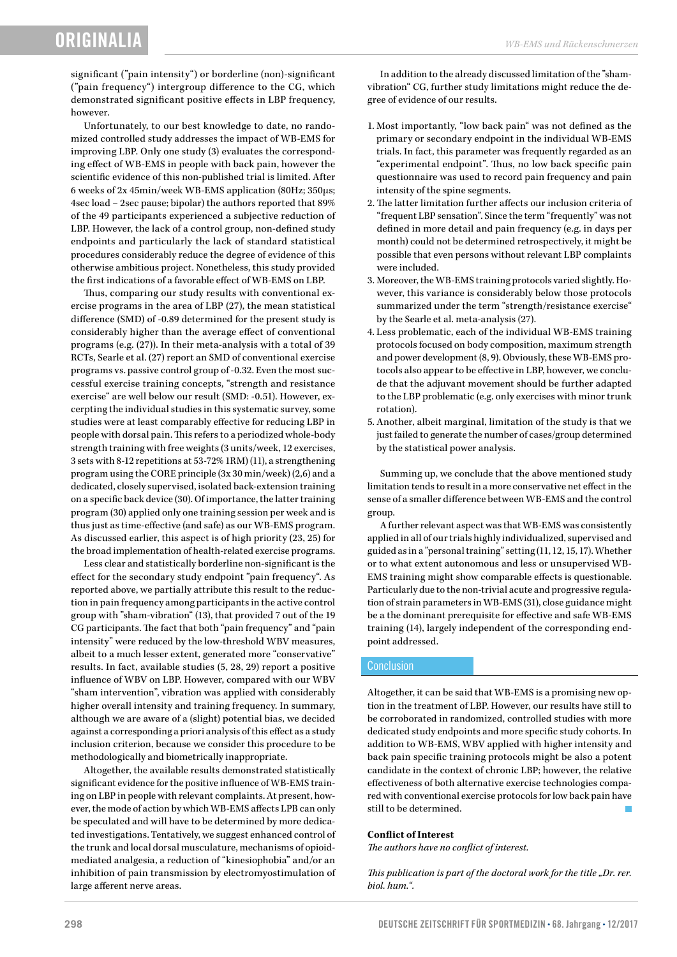## **ORIGINALI**

significant ("pain intensity") or borderline (non)-significant ("pain frequency") intergroup difference to the CG, which demonstrated significant positive effects in LBP frequency, however.

Unfortunately, to our best knowledge to date, no randomized controlled study addresses the impact of WB-EMS for improving LBP. Only one study (3) evaluates the corresponding effect of WB-EMS in people with back pain, however the scientific evidence of this non-published trial is limited. After 6 weeks of 2x 45min/week WB-EMS application (80Hz; 350µs; 4sec load – 2sec pause; bipolar) the authors reported that 89% of the 49 participants experienced a subjective reduction of LBP. However, the lack of a control group, non-defined study endpoints and particularly the lack of standard statistical procedures considerably reduce the degree of evidence of this otherwise ambitious project. Nonetheless, this study provided the first indications of a favorable effect of WB-EMS on LBP.

Thus, comparing our study results with conventional exercise programs in the area of LBP (27), the mean statistical difference (SMD) of -0.89 determined for the present study is considerably higher than the average effect of conventional programs (e.g. (27)). In their meta-analysis with a total of 39 RCTs, Searle et al. (27) report an SMD of conventional exercise programs vs. passive control group of -0.32. Even the most successful exercise training concepts, "strength and resistance exercise" are well below our result (SMD: -0.51). However, excerpting the individual studies in this systematic survey, some studies were at least comparably effective for reducing LBP in people with dorsal pain. This refers to a periodized whole-body strength training with free weights (3 units/week, 12 exercises, 3 sets with 8-12 repetitions at 53-72% 1RM) (11), a strengthening program using the CORE principle (3x 30 min/week) (2,6) and a dedicated, closely supervised, isolated back-extension training on a specific back device (30). Of importance, the latter training program (30) applied only one training session per week and is thus just as time-effective (and safe) as our WB-EMS program. As discussed earlier, this aspect is of high priority (23, 25) for the broad implementation of health-related exercise programs.

Less clear and statistically borderline non-significant is the effect for the secondary study endpoint "pain frequency". As reported above, we partially attribute this result to the reduction in pain frequency among participants in the active control group with "sham-vibration" (13), that provided 7 out of the 19 CG participants. The fact that both "pain frequency" and "pain intensity" were reduced by the low-threshold WBV measures, albeit to a much lesser extent, generated more "conservative" results. In fact, available studies (5, 28, 29) report a positive influence of WBV on LBP. However, compared with our WBV "sham intervention", vibration was applied with considerably higher overall intensity and training frequency. In summary, although we are aware of a (slight) potential bias, we decided against a corresponding a priori analysis of this effect as a study inclusion criterion, because we consider this procedure to be methodologically and biometrically inappropriate.

Altogether, the available results demonstrated statistically significant evidence for the positive influence of WB-EMS training on LBP in people with relevant complaints. At present, however, the mode of action by which WB-EMS affects LPB can only be speculated and will have to be determined by more dedicated investigations. Tentatively, we suggest enhanced control of the trunk and local dorsal musculature, mechanisms of opioidmediated analgesia, a reduction of "kinesiophobia" and/or an inhibition of pain transmission by electromyostimulation of large afferent nerve areas.

In addition to the already discussed limitation of the "shamvibration" CG, further study limitations might reduce the degree of evidence of our results.

- 1. Most importantly, "low back pain" was not defined as the primary or secondary endpoint in the individual WB-EMS trials. In fact, this parameter was frequently regarded as an "experimental endpoint". Thus, no low back specific pain questionnaire was used to record pain frequency and pain intensity of the spine segments.
- 2. The latter limitation further affects our inclusion criteria of "frequent LBP sensation". Since the term "frequently" was not defined in more detail and pain frequency (e.g. in days per month) could not be determined retrospectively, it might be possible that even persons without relevant LBP complaints were included.
- 3. Moreover, the WB-EMS training protocols varied slightly. However, this variance is considerably below those protocols summarized under the term "strength/resistance exercise" by the Searle et al. meta-analysis (27).
- 4. Less problematic, each of the individual WB-EMS training protocols focused on body composition, maximum strength and power development (8, 9). Obviously, these WB-EMS protocols also appear to be effective in LBP, however, we conclude that the adjuvant movement should be further adapted to the LBP problematic (e.g. only exercises with minor trunk rotation).
- 5. Another, albeit marginal, limitation of the study is that we just failed to generate the number of cases/group determined by the statistical power analysis.

Summing up, we conclude that the above mentioned study limitation tends to result in a more conservative net effect in the sense of a smaller difference between WB-EMS and the control group.

A further relevant aspect was that WB-EMS was consistently applied in all of our trials highly individualized, supervised and guided as in a "personal training" setting (11, 12, 15, 17). Whether or to what extent autonomous and less or unsupervised WB-EMS training might show comparable effects is questionable. Particularly due to the non-trivial acute and progressive regulation of strain parameters in WB-EMS (31), close guidance might be a the dominant prerequisite for effective and safe WB-EMS training (14), largely independent of the corresponding endpoint addressed.

#### Conclusion

Altogether, it can be said that WB-EMS is a promising new option in the treatment of LBP. However, our results have still to be corroborated in randomized, controlled studies with more dedicated study endpoints and more specific study cohorts. In addition to WB-EMS, WBV applied with higher intensity and back pain specific training protocols might be also a potent candidate in the context of chronic LBP; however, the relative effectiveness of both alternative exercise technologies compared with conventional exercise protocols for low back pain have still to be determined.

#### **Conflict of Interest**

*The authors have no conflict of interest.*

*This publication is part of the doctoral work for the title "Dr. rer. biol. hum.".*